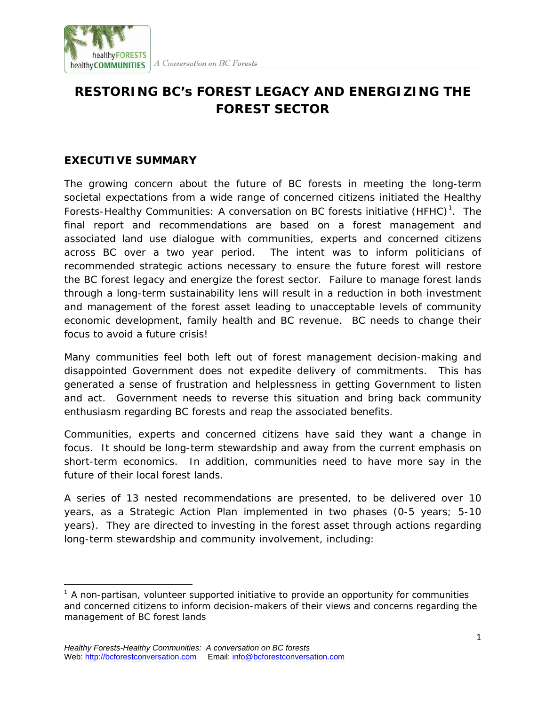

## A Conversation on BC Forests

## **RESTORING BC's FOREST LEGACY AND ENERGIZING THE FOREST SECTOR**

## **EXECUTIVE SUMMARY**

The growing concern about the future of BC forests in meeting the long-term societal expectations from a wide range of concerned citizens initiated the *Healthy*  Forests-Healthy Communities: A conversation on BC forests initiative (HFHC)<sup>[1](#page-0-0)</sup>. The final report and recommendations are based on a forest management and associated land use dialogue with communities, experts and concerned citizens across BC over a two year period. The intent was to inform politicians of recommended strategic actions necessary to ensure the future forest will restore the BC forest legacy and energize the forest sector. Failure to manage forest lands through a long-term sustainability lens will result in a reduction in both investment and management of the forest asset leading to unacceptable levels of community economic development, family health and BC revenue. BC needs to change their focus to avoid a future crisis!

Many communities feel both left out of forest management decision-making and disappointed Government does not expedite delivery of commitments. This has generated a sense of frustration and helplessness in getting Government to listen and act. Government needs to reverse this situation and bring back community enthusiasm regarding BC forests and reap the associated benefits.

Communities, experts and concerned citizens have said they want a change in focus. It should be long-term stewardship and away from the current emphasis on short-term economics. In addition, communities need to have more say in the future of their local forest lands.

A series of 13 nested recommendations are presented, to be delivered over 10 years, as a *Strategic Action Plan* implemented in two phases (0-5 years; 5-10 years). They are directed to investing in the forest asset through actions regarding long-term stewardship and community involvement, including:

<span id="page-0-0"></span> $\frac{1}{1}$  $1$  A non-partisan, volunteer supported initiative to provide an opportunity for communities and concerned citizens to inform decision-makers of their views and concerns regarding the management of BC forest lands